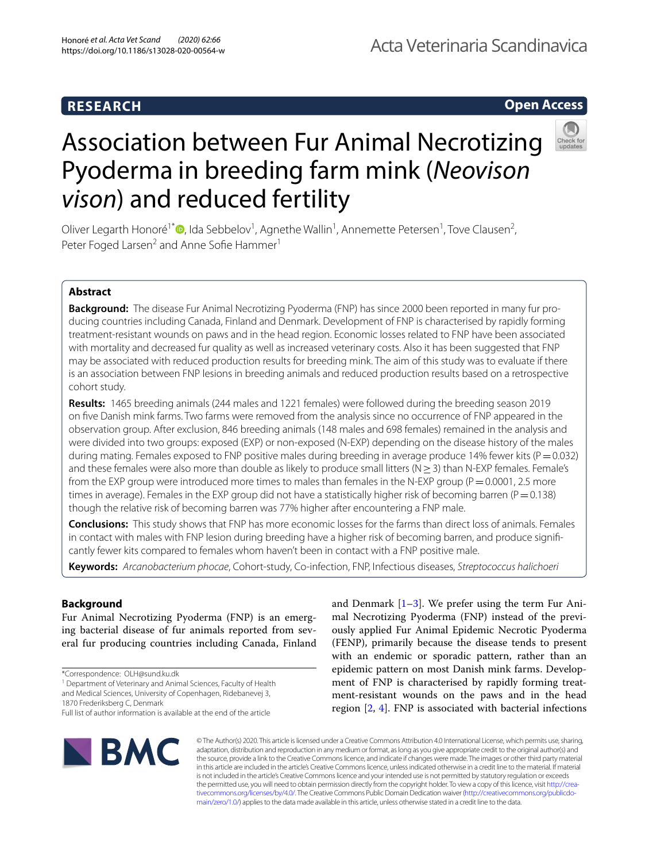# **RESEARCH**

Acta Veterinaria Scandinavica

# **Open Access**



# Association between Fur Animal Necrotizing Pyoderma in breeding farm mink (*Neovison vison*) and reduced fertility

Oliver Legarth Honoré<sup>1[\\*](http://orcid.org/0000-0001-5354-8975)</sup><sup>®</sup>, Ida Sebbelov<sup>1</sup>, Agnethe Wallin<sup>1</sup>, Annemette Petersen<sup>1</sup>, Tove Clausen<sup>2</sup>, Peter Foged Larsen<sup>2</sup> and Anne Sofie Hammer<sup>1</sup>

# **Abstract**

**Background:** The disease Fur Animal Necrotizing Pyoderma (FNP) has since 2000 been reported in many fur producing countries including Canada, Finland and Denmark. Development of FNP is characterised by rapidly forming treatment-resistant wounds on paws and in the head region. Economic losses related to FNP have been associated with mortality and decreased fur quality as well as increased veterinary costs. Also it has been suggested that FNP may be associated with reduced production results for breeding mink. The aim of this study was to evaluate if there is an association between FNP lesions in breeding animals and reduced production results based on a retrospective cohort study.

**Results:** 1465 breeding animals (244 males and 1221 females) were followed during the breeding season 2019 on fve Danish mink farms. Two farms were removed from the analysis since no occurrence of FNP appeared in the observation group. After exclusion, 846 breeding animals (148 males and 698 females) remained in the analysis and were divided into two groups: exposed (EXP) or non-exposed (N-EXP) depending on the disease history of the males during mating. Females exposed to FNP positive males during breeding in average produce 14% fewer kits ( $P=0.032$ ) and these females were also more than double as likely to produce small litters ( $N \ge 3$ ) than N-EXP females. Female's from the EXP group were introduced more times to males than females in the N-EXP group ( $P=0.0001$ , 2.5 more times in average). Females in the EXP group did not have a statistically higher risk of becoming barren ( $P=0.138$ ) though the relative risk of becoming barren was 77% higher after encountering a FNP male.

**Conclusions:** This study shows that FNP has more economic losses for the farms than direct loss of animals. Females in contact with males with FNP lesion during breeding have a higher risk of becoming barren, and produce signifcantly fewer kits compared to females whom haven't been in contact with a FNP positive male.

**Keywords:** *Arcanobacterium phocae*, Cohort-study, Co-infection, FNP, Infectious diseases, *Streptococcus halichoeri*

# **Background**

Fur Animal Necrotizing Pyoderma (FNP) is an emerging bacterial disease of fur animals reported from several fur producing countries including Canada, Finland

\*Correspondence: OLH@sund.ku.dk

<sup>1</sup> Department of Veterinary and Animal Sciences, Faculty of Health and Medical Sciences, University of Copenhagen, Ridebanevej 3, 1870 Frederiksberg C, Denmark

and Denmark  $[1-3]$  $[1-3]$ . We prefer using the term Fur Animal Necrotizing Pyoderma (FNP) instead of the previously applied Fur Animal Epidemic Necrotic Pyoderma (FENP), primarily because the disease tends to present with an endemic or sporadic pattern, rather than an epidemic pattern on most Danish mink farms. Development of FNP is characterised by rapidly forming treatment-resistant wounds on the paws and in the head region [\[2](#page-5-2), [4\]](#page-5-3). FNP is associated with bacterial infections



© The Author(s) 2020. This article is licensed under a Creative Commons Attribution 4.0 International License, which permits use, sharing, adaptation, distribution and reproduction in any medium or format, as long as you give appropriate credit to the original author(s) and the source, provide a link to the Creative Commons licence, and indicate if changes were made. The images or other third party material in this article are included in the article's Creative Commons licence, unless indicated otherwise in a credit line to the material. If material is not included in the article's Creative Commons licence and your intended use is not permitted by statutory regulation or exceeds the permitted use, you will need to obtain permission directly from the copyright holder. To view a copy of this licence, visit [http://crea](http://creativecommons.org/licenses/by/4.0/)[tivecommons.org/licenses/by/4.0/.](http://creativecommons.org/licenses/by/4.0/) The Creative Commons Public Domain Dedication waiver ([http://creativecommons.org/publicdo](http://creativecommons.org/publicdomain/zero/1.0/)[main/zero/1.0/\)](http://creativecommons.org/publicdomain/zero/1.0/) applies to the data made available in this article, unless otherwise stated in a credit line to the data.

Full list of author information is available at the end of the article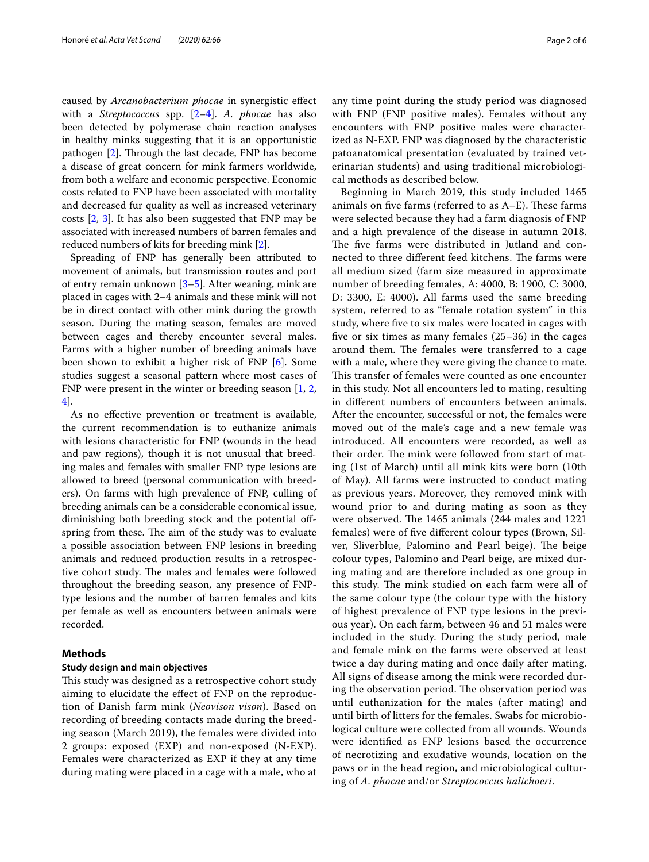caused by *Arcanobacterium phocae* in synergistic efect with a *Streptococcus* spp. [\[2–](#page-5-2)[4\]](#page-5-3). *A. phocae* has also been detected by polymerase chain reaction analyses in healthy minks suggesting that it is an opportunistic pathogen  $[2]$ . Through the last decade, FNP has become a disease of great concern for mink farmers worldwide, from both a welfare and economic perspective. Economic costs related to FNP have been associated with mortality and decreased fur quality as well as increased veterinary costs [[2,](#page-5-2) [3\]](#page-5-1). It has also been suggested that FNP may be associated with increased numbers of barren females and reduced numbers of kits for breeding mink [\[2](#page-5-2)].

Spreading of FNP has generally been attributed to movement of animals, but transmission routes and port of entry remain unknown [\[3](#page-5-1)[–5](#page-5-4)]. After weaning, mink are placed in cages with 2–4 animals and these mink will not be in direct contact with other mink during the growth season. During the mating season, females are moved between cages and thereby encounter several males. Farms with a higher number of breeding animals have been shown to exhibit a higher risk of FNP [\[6\]](#page-5-5). Some studies suggest a seasonal pattern where most cases of FNP were present in the winter or breeding season [\[1](#page-5-0), [2](#page-5-2), [4\]](#page-5-3).

As no efective prevention or treatment is available, the current recommendation is to euthanize animals with lesions characteristic for FNP (wounds in the head and paw regions), though it is not unusual that breeding males and females with smaller FNP type lesions are allowed to breed (personal communication with breeders). On farms with high prevalence of FNP, culling of breeding animals can be a considerable economical issue, diminishing both breeding stock and the potential ofspring from these. The aim of the study was to evaluate a possible association between FNP lesions in breeding animals and reduced production results in a retrospective cohort study. The males and females were followed throughout the breeding season, any presence of FNPtype lesions and the number of barren females and kits per female as well as encounters between animals were recorded.

# **Methods**

# **Study design and main objectives**

This study was designed as a retrospective cohort study aiming to elucidate the efect of FNP on the reproduction of Danish farm mink (*Neovison vison*). Based on recording of breeding contacts made during the breeding season (March 2019), the females were divided into 2 groups: exposed (EXP) and non-exposed (N-EXP). Females were characterized as EXP if they at any time during mating were placed in a cage with a male, who at any time point during the study period was diagnosed with FNP (FNP positive males). Females without any encounters with FNP positive males were characterized as N-EXP. FNP was diagnosed by the characteristic patoanatomical presentation (evaluated by trained veterinarian students) and using traditional microbiological methods as described below.

Beginning in March 2019, this study included 1465 animals on five farms (referred to as  $A-E$ ). These farms were selected because they had a farm diagnosis of FNP and a high prevalence of the disease in autumn 2018. The five farms were distributed in Jutland and connected to three different feed kitchens. The farms were all medium sized (farm size measured in approximate number of breeding females, A: 4000, B: 1900, C: 3000, D: 3300, E: 4000). All farms used the same breeding system, referred to as "female rotation system" in this study, where fve to six males were located in cages with fve or six times as many females (25–36) in the cages around them. The females were transferred to a cage with a male, where they were giving the chance to mate. This transfer of females were counted as one encounter in this study. Not all encounters led to mating, resulting in diferent numbers of encounters between animals. After the encounter, successful or not, the females were moved out of the male's cage and a new female was introduced. All encounters were recorded, as well as their order. The mink were followed from start of mating (1st of March) until all mink kits were born (10th of May). All farms were instructed to conduct mating as previous years. Moreover, they removed mink with wound prior to and during mating as soon as they were observed. The 1465 animals (244 males and 1221 females) were of fve diferent colour types (Brown, Silver, Sliverblue, Palomino and Pearl beige). The beige colour types, Palomino and Pearl beige, are mixed during mating and are therefore included as one group in this study. The mink studied on each farm were all of the same colour type (the colour type with the history of highest prevalence of FNP type lesions in the previous year). On each farm, between 46 and 51 males were included in the study. During the study period, male and female mink on the farms were observed at least twice a day during mating and once daily after mating. All signs of disease among the mink were recorded during the observation period. The observation period was until euthanization for the males (after mating) and until birth of litters for the females. Swabs for microbiological culture were collected from all wounds. Wounds were identifed as FNP lesions based the occurrence of necrotizing and exudative wounds, location on the paws or in the head region, and microbiological culturing of *A. phocae* and/or *Streptococcus halichoeri*.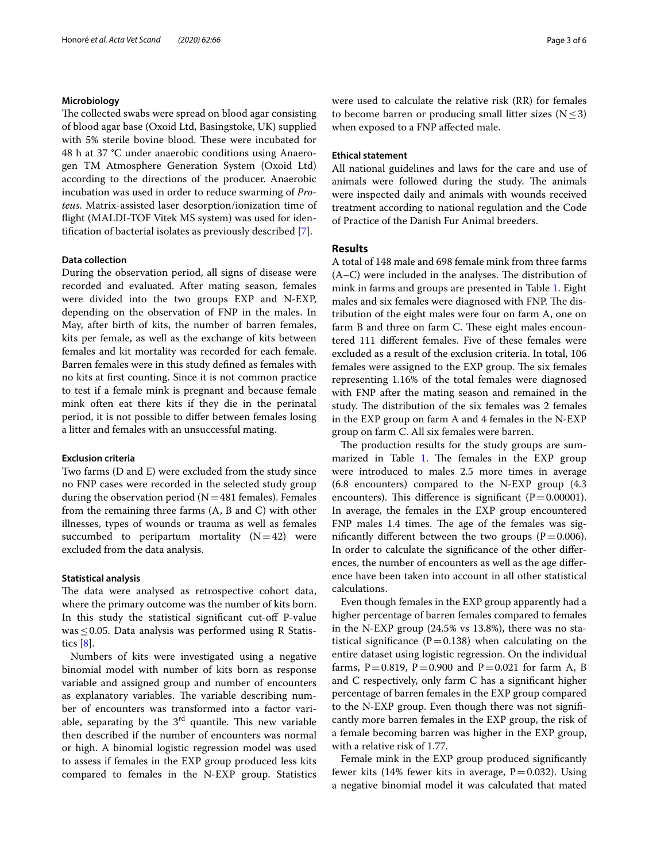## **Microbiology**

The collected swabs were spread on blood agar consisting of blood agar base (Oxoid Ltd, Basingstoke, UK) supplied with 5% sterile bovine blood. These were incubated for 48 h at 37 °C under anaerobic conditions using Anaerogen TM Atmosphere Generation System (Oxoid Ltd) according to the directions of the producer. Anaerobic incubation was used in order to reduce swarming of *Proteus*. Matrix-assisted laser desorption/ionization time of fight (MALDI-TOF Vitek MS system) was used for identifcation of bacterial isolates as previously described [[7\]](#page-5-6).

# **Data collection**

During the observation period, all signs of disease were recorded and evaluated. After mating season, females were divided into the two groups EXP and N-EXP, depending on the observation of FNP in the males. In May, after birth of kits, the number of barren females, kits per female, as well as the exchange of kits between females and kit mortality was recorded for each female. Barren females were in this study defned as females with no kits at frst counting. Since it is not common practice to test if a female mink is pregnant and because female mink often eat there kits if they die in the perinatal period, it is not possible to difer between females losing a litter and females with an unsuccessful mating.

#### **Exclusion criteria**

Two farms (D and E) were excluded from the study since no FNP cases were recorded in the selected study group during the observation period ( $N=481$  females). Females from the remaining three farms (A, B and C) with other illnesses, types of wounds or trauma as well as females succumbed to peripartum mortality  $(N=42)$  were excluded from the data analysis.

### **Statistical analysis**

The data were analysed as retrospective cohort data, where the primary outcome was the number of kits born. In this study the statistical signifcant cut-of P-value was  $\leq$  0.05. Data analysis was performed using R Statistics  $[8]$  $[8]$ .

Numbers of kits were investigated using a negative binomial model with number of kits born as response variable and assigned group and number of encounters as explanatory variables. The variable describing number of encounters was transformed into a factor variable, separating by the  $3<sup>rd</sup>$  quantile. This new variable then described if the number of encounters was normal or high. A binomial logistic regression model was used to assess if females in the EXP group produced less kits compared to females in the N-EXP group. Statistics were used to calculate the relative risk (RR) for females to become barren or producing small litter sizes  $(N < 3)$ when exposed to a FNP affected male.

## **Ethical statement**

All national guidelines and laws for the care and use of animals were followed during the study. The animals were inspected daily and animals with wounds received treatment according to national regulation and the Code of Practice of the Danish Fur Animal breeders.

# **Results**

A total of 148 male and 698 female mink from three farms  $(A-C)$  were included in the analyses. The distribution of mink in farms and groups are presented in Table [1](#page-3-0). Eight males and six females were diagnosed with FNP. The distribution of the eight males were four on farm A, one on farm B and three on farm C. These eight males encountered 111 diferent females. Five of these females were excluded as a result of the exclusion criteria. In total, 106 females were assigned to the EXP group. The six females representing 1.16% of the total females were diagnosed with FNP after the mating season and remained in the study. The distribution of the six females was 2 females in the EXP group on farm A and 4 females in the N-EXP group on farm C. All six females were barren.

The production results for the study groups are sum-marized in Table [1](#page-3-0). The females in the EXP group were introduced to males 2.5 more times in average (6.8 encounters) compared to the N-EXP group (4.3 encounters). This difference is significant ( $P=0.00001$ ). In average, the females in the EXP group encountered FNP males 1.4 times. The age of the females was significantly different between the two groups ( $P=0.006$ ). In order to calculate the signifcance of the other diferences, the number of encounters as well as the age diference have been taken into account in all other statistical calculations.

Even though females in the EXP group apparently had a higher percentage of barren females compared to females in the N-EXP group (24.5% vs 13.8%), there was no statistical significance ( $P = 0.138$ ) when calculating on the entire dataset using logistic regression. On the individual farms,  $P = 0.819$ ,  $P = 0.900$  and  $P = 0.021$  for farm A, B and C respectively, only farm C has a signifcant higher percentage of barren females in the EXP group compared to the N-EXP group. Even though there was not signifcantly more barren females in the EXP group, the risk of a female becoming barren was higher in the EXP group, with a relative risk of 1.77.

Female mink in the EXP group produced signifcantly fewer kits (14% fewer kits in average,  $P=0.032$ ). Using a negative binomial model it was calculated that mated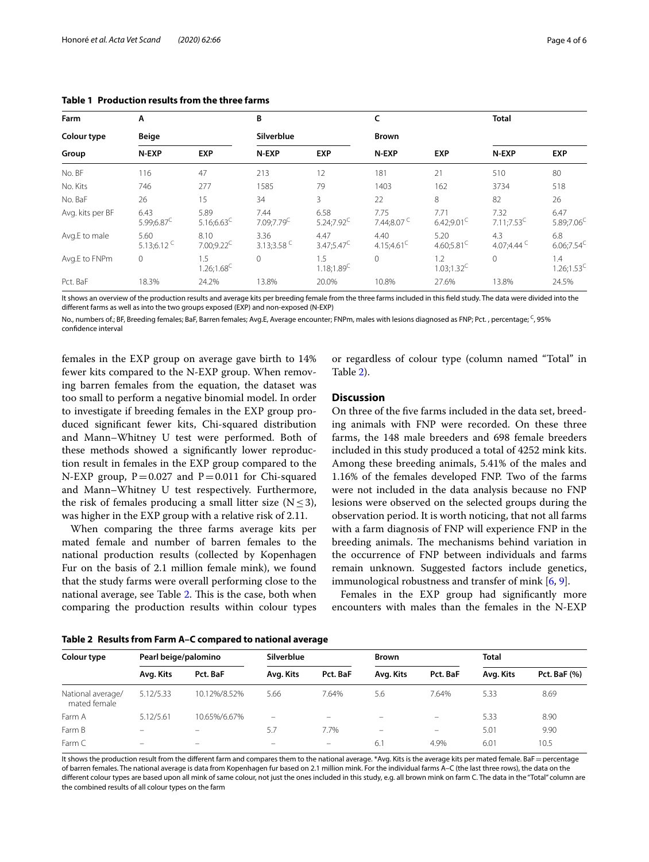| Farm<br>Colour type<br>Group | A<br><b>Beige</b>              |                       | В<br>Silverblue                |                       | c<br><b>Brown</b>              |                                | <b>Total</b>                               |                       |
|------------------------------|--------------------------------|-----------------------|--------------------------------|-----------------------|--------------------------------|--------------------------------|--------------------------------------------|-----------------------|
|                              |                                |                       |                                |                       |                                |                                |                                            |                       |
|                              | No. BF                         | 116                   | 47                             | 213                   | 12                             | 181                            | 21                                         | 510                   |
| No. Kits                     | 746                            | 277                   | 1585                           | 79                    | 1403                           | 162                            | 3734                                       | 518                   |
| No. BaF                      | 26                             | 15                    | 34                             | 3                     | 22                             | 8                              | 82                                         | 26                    |
| Avg. kits per BF             | 6.43<br>$5.99; 6.87^C$         | 5.89<br>$5.16;6.63^C$ | 7.44<br>$7.09;7.79^C$          | 6.58<br>$5.24;7.92^C$ | 7.75<br>7.44;8.07 <sup>C</sup> | 7.71<br>$6.42;9.01^C$          | 7.32<br>$7.11;7.53^C$                      | 6.47<br>$5.89;7.06^C$ |
| Avg.E to male                | 5.60<br>5.13;6.12 <sup>C</sup> | 8.10<br>$7.00;9.22^C$ | 3.36<br>3.13;3.58 <sup>C</sup> | 4.47<br>$3.47;5.47^C$ | 4.40<br>4.15;4.61 <sup>C</sup> | 5.20<br>4.60;5.81 <sup>C</sup> | 4.3<br>4.07;4.44 <sup><math>C</math></sup> | 6.8<br>$6.06;7.54^C$  |
| Avg.E to FNPm                | $\Omega$                       | 1.5<br>$1.26;1.68^C$  | $\mathbf{0}$                   | 1.5<br>$1.18;1.89^C$  | $\Omega$                       | 1.2<br>$1.03;1.32^C$           | $\circ$                                    | 1.4<br>$1.26;1.53^C$  |
| Pct. BaF                     | 18.3%                          | 24.2%                 | 13.8%                          | 20.0%                 | 10.8%                          | 27.6%                          | 13.8%                                      | 24.5%                 |

# <span id="page-3-0"></span>**Table 1 Production results from the three farms**

It shows an overview of the production results and average kits per breeding female from the three farms included in this feld study. The data were divided into the diferent farms as well as into the two groups exposed (EXP) and non-exposed (N-EXP)

No., numbers of.; BF, Breeding females; BaF, Barren females; Avg.E, Average encounter; FNPm, males with lesions diagnosed as FNP; Pct. , percentage; C, 95% confdence interval

females in the EXP group on average gave birth to 14% fewer kits compared to the N-EXP group. When removing barren females from the equation, the dataset was too small to perform a negative binomial model. In order to investigate if breeding females in the EXP group produced signifcant fewer kits, Chi-squared distribution and Mann–Whitney U test were performed. Both of these methods showed a signifcantly lower reproduction result in females in the EXP group compared to the N-EXP group,  $P = 0.027$  and  $P = 0.011$  for Chi-squared and Mann–Whitney U test respectively. Furthermore, the risk of females producing a small litter size ( $N \leq 3$ ), was higher in the EXP group with a relative risk of 2.11.

When comparing the three farms average kits per mated female and number of barren females to the national production results (collected by Kopenhagen Fur on the basis of 2.1 million female mink), we found that the study farms were overall performing close to the national average, see Table [2.](#page-3-1) This is the case, both when comparing the production results within colour types or regardless of colour type (column named "Total" in Table [2](#page-3-1)).

# **Discussion**

On three of the fve farms included in the data set, breeding animals with FNP were recorded. On these three farms, the 148 male breeders and 698 female breeders included in this study produced a total of 4252 mink kits. Among these breeding animals, 5.41% of the males and 1.16% of the females developed FNP. Two of the farms were not included in the data analysis because no FNP lesions were observed on the selected groups during the observation period. It is worth noticing, that not all farms with a farm diagnosis of FNP will experience FNP in the breeding animals. The mechanisms behind variation in the occurrence of FNP between individuals and farms remain unknown. Suggested factors include genetics, immunological robustness and transfer of mink [[6,](#page-5-5) [9](#page-5-8)].

Females in the EXP group had signifcantly more encounters with males than the females in the N-EXP

<span id="page-3-1"></span>

| Table 2 Results from Farm A-C compared to national average |  |
|------------------------------------------------------------|--|
|------------------------------------------------------------|--|

| Colour type                       | Pearl beige/palomino     |                          | Silverblue |                          | Brown                    |                          | <b>Total</b> |                     |
|-----------------------------------|--------------------------|--------------------------|------------|--------------------------|--------------------------|--------------------------|--------------|---------------------|
|                                   | Avg. Kits                | Pct. BaF                 | Avg. Kits  | Pct. BaF                 | Avg. Kits                | Pct. BaF                 | Avg. Kits    | <b>Pct. BaF (%)</b> |
| National average/<br>mated female | 5.12/5.33                | 10.12%/8.52%             | 5.66       | 7.64%                    | 5.6                      | 7.64%                    | 5.33         | 8.69                |
| Farm A                            | 5.12/5.61                | 10.65%/6.67%             | -          |                          | $\overline{\phantom{0}}$ | $\equiv$                 | 5.33         | 8.90                |
| Farm B                            | $\qquad \qquad -$        | $\overline{\phantom{0}}$ | 5.7        | 7.7%                     | $\overline{\phantom{0}}$ | $\overline{\phantom{0}}$ | 5.01         | 9.90                |
| Farm C                            | $\overline{\phantom{0}}$ | -                        | -          | $\overline{\phantom{0}}$ | 6.1                      | 4.9%                     | 6.01         | 10.5                |

It shows the production result from the different farm and compares them to the national average. \*Avg. Kits is the average kits per mated female. BaF = percentage of barren females. The national average is data from Kopenhagen fur based on 2.1 million mink. For the individual farms A–C (the last three rows), the data on the different colour types are based upon all mink of same colour, not just the ones included in this study, e.g. all brown mink on farm C. The data in the "Total" column are the combined results of all colour types on the farm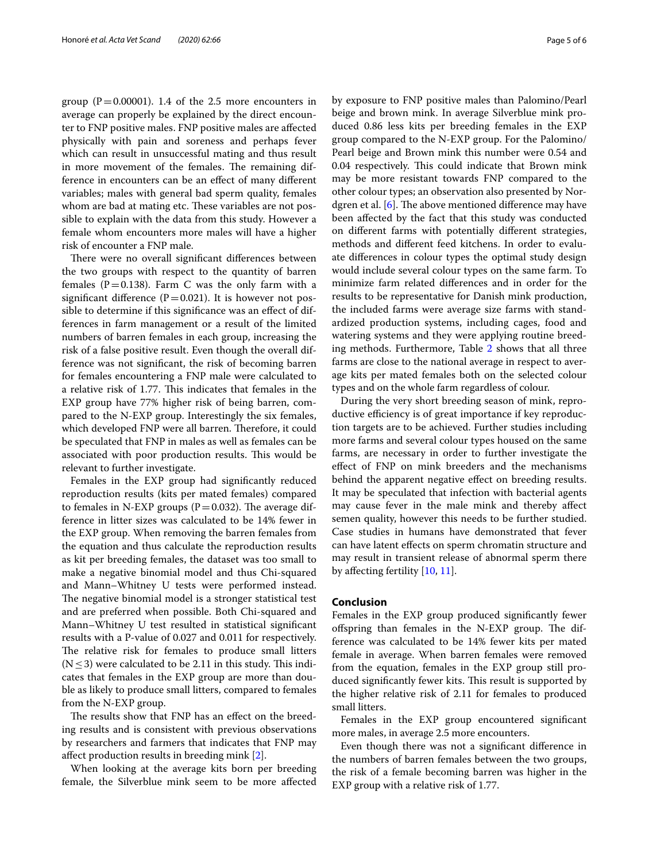group ( $P = 0.00001$ ). 1.4 of the 2.5 more encounters in average can properly be explained by the direct encounter to FNP positive males. FNP positive males are afected physically with pain and soreness and perhaps fever which can result in unsuccessful mating and thus result in more movement of the females. The remaining difference in encounters can be an efect of many diferent variables; males with general bad sperm quality, females whom are bad at mating etc. These variables are not possible to explain with the data from this study. However a female whom encounters more males will have a higher risk of encounter a FNP male.

There were no overall significant differences between the two groups with respect to the quantity of barren females ( $P = 0.138$ ). Farm C was the only farm with a significant difference ( $P=0.021$ ). It is however not possible to determine if this signifcance was an efect of differences in farm management or a result of the limited numbers of barren females in each group, increasing the risk of a false positive result. Even though the overall difference was not signifcant, the risk of becoming barren for females encountering a FNP male were calculated to a relative risk of 1.77. This indicates that females in the EXP group have 77% higher risk of being barren, compared to the N-EXP group. Interestingly the six females, which developed FNP were all barren. Therefore, it could be speculated that FNP in males as well as females can be associated with poor production results. This would be relevant to further investigate.

Females in the EXP group had signifcantly reduced reproduction results (kits per mated females) compared to females in N-EXP groups ( $P=0.032$ ). The average difference in litter sizes was calculated to be 14% fewer in the EXP group. When removing the barren females from the equation and thus calculate the reproduction results as kit per breeding females, the dataset was too small to make a negative binomial model and thus Chi-squared and Mann–Whitney U tests were performed instead. The negative binomial model is a stronger statistical test and are preferred when possible. Both Chi-squared and Mann–Whitney U test resulted in statistical signifcant results with a P-value of 0.027 and 0.011 for respectively. The relative risk for females to produce small litters ( $N \leq 3$ ) were calculated to be 2.11 in this study. This indicates that females in the EXP group are more than double as likely to produce small litters, compared to females from the N-EXP group.

The results show that FNP has an effect on the breeding results and is consistent with previous observations by researchers and farmers that indicates that FNP may afect production results in breeding mink [\[2](#page-5-2)].

When looking at the average kits born per breeding female, the Silverblue mink seem to be more afected by exposure to FNP positive males than Palomino/Pearl beige and brown mink. In average Silverblue mink produced 0.86 less kits per breeding females in the EXP group compared to the N-EXP group. For the Palomino/ Pearl beige and Brown mink this number were 0.54 and 0.04 respectively. This could indicate that Brown mink may be more resistant towards FNP compared to the other colour types; an observation also presented by Nordgren et al.  $[6]$  $[6]$ . The above mentioned difference may have been afected by the fact that this study was conducted on diferent farms with potentially diferent strategies, methods and diferent feed kitchens. In order to evaluate diferences in colour types the optimal study design would include several colour types on the same farm. To minimize farm related diferences and in order for the results to be representative for Danish mink production, the included farms were average size farms with standardized production systems, including cages, food and watering systems and they were applying routine breeding methods. Furthermore, Table [2](#page-3-1) shows that all three farms are close to the national average in respect to average kits per mated females both on the selected colour types and on the whole farm regardless of colour.

During the very short breeding season of mink, reproductive efficiency is of great importance if key reproduction targets are to be achieved. Further studies including more farms and several colour types housed on the same farms, are necessary in order to further investigate the efect of FNP on mink breeders and the mechanisms behind the apparent negative effect on breeding results. It may be speculated that infection with bacterial agents may cause fever in the male mink and thereby afect semen quality, however this needs to be further studied. Case studies in humans have demonstrated that fever can have latent efects on sperm chromatin structure and may result in transient release of abnormal sperm there by afecting fertility [[10,](#page-5-9) [11\]](#page-5-10).

## **Conclusion**

Females in the EXP group produced signifcantly fewer offspring than females in the N-EXP group. The difference was calculated to be 14% fewer kits per mated female in average. When barren females were removed from the equation, females in the EXP group still produced significantly fewer kits. This result is supported by the higher relative risk of 2.11 for females to produced small litters.

Females in the EXP group encountered signifcant more males, in average 2.5 more encounters.

Even though there was not a signifcant diference in the numbers of barren females between the two groups, the risk of a female becoming barren was higher in the EXP group with a relative risk of 1.77.